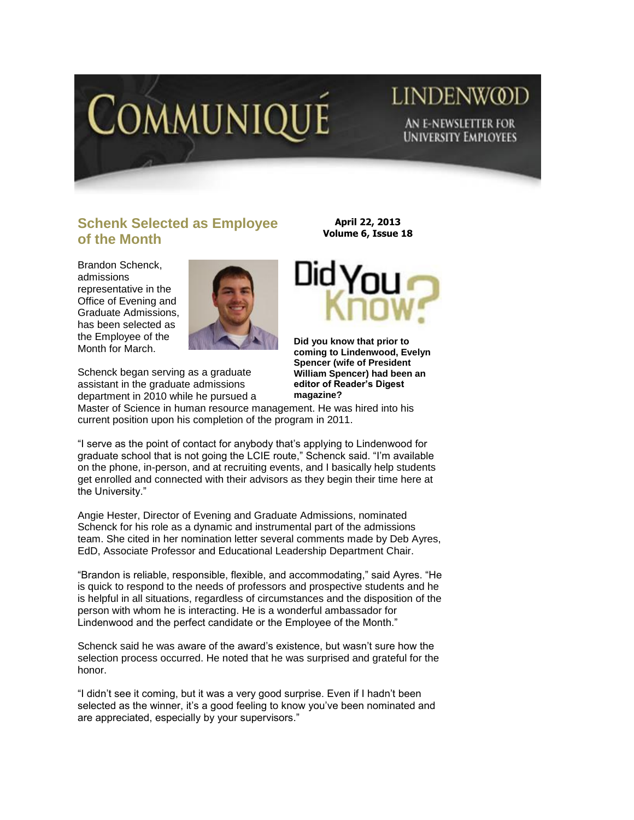

# **LINDENWOD** AN E-NEWSLETTER FOR **UNIVERSITY EMPLOYEES**

## **Schenk Selected as Employee of the Month**

Brandon Schenck, admissions representative in the Office of Evening and Graduate Admissions, has been selected as the Employee of the Month for March.



Schenck began serving as a graduate assistant in the graduate admissions department in 2010 while he pursued a

**April 22, 2013 Volume 6, Issue 18**



**Did you know that prior to coming to Lindenwood, Evelyn Spencer (wife of President William Spencer) had been an editor of Reader's Digest magazine?** 

Master of Science in human resource management. He was hired into his current position upon his completion of the program in 2011.

"I serve as the point of contact for anybody that's applying to Lindenwood for graduate school that is not going the LCIE route," Schenck said. "I'm available on the phone, in-person, and at recruiting events, and I basically help students get enrolled and connected with their advisors as they begin their time here at the University."

Angie Hester, Director of Evening and Graduate Admissions, nominated Schenck for his role as a dynamic and instrumental part of the admissions team. She cited in her nomination letter several comments made by Deb Ayres, EdD, Associate Professor and Educational Leadership Department Chair.

"Brandon is reliable, responsible, flexible, and accommodating," said Ayres. "He is quick to respond to the needs of professors and prospective students and he is helpful in all situations, regardless of circumstances and the disposition of the person with whom he is interacting. He is a wonderful ambassador for Lindenwood and the perfect candidate or the Employee of the Month."

Schenck said he was aware of the award's existence, but wasn't sure how the selection process occurred. He noted that he was surprised and grateful for the honor.

"I didn't see it coming, but it was a very good surprise. Even if I hadn't been selected as the winner, it's a good feeling to know you've been nominated and are appreciated, especially by your supervisors."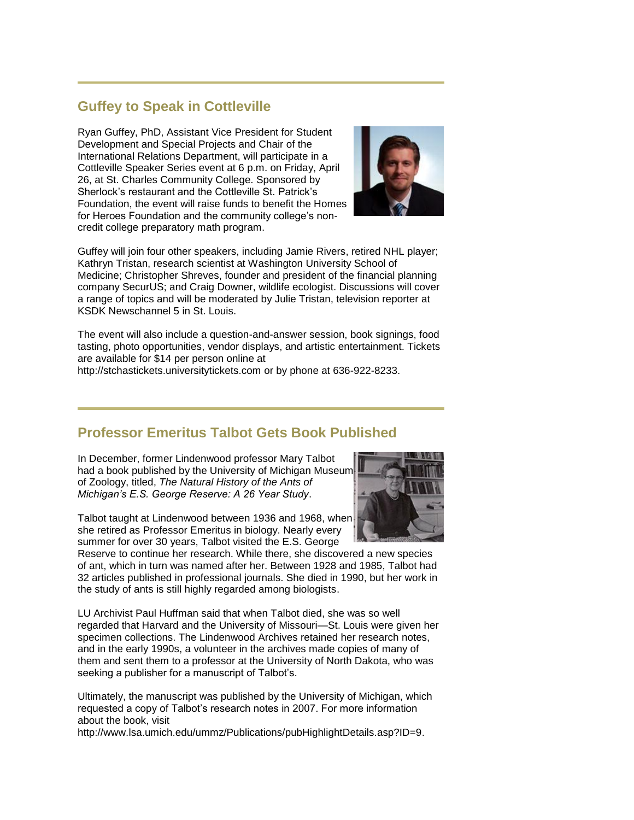## **Guffey to Speak in Cottleville**

Ryan Guffey, PhD, Assistant Vice President for Student Development and Special Projects and Chair of the International Relations Department, will participate in a Cottleville Speaker Series event at 6 p.m. on Friday, April 26, at St. Charles Community College. Sponsored by Sherlock's restaurant and the Cottleville St. Patrick's Foundation, the event will raise funds to benefit the Homes for Heroes Foundation and the community college's noncredit college preparatory math program.



Guffey will join four other speakers, including Jamie Rivers, retired NHL player; Kathryn Tristan, research scientist at Washington University School of Medicine; Christopher Shreves, founder and president of the financial planning company SecurUS; and Craig Downer, wildlife ecologist. Discussions will cover a range of topics and will be moderated by Julie Tristan, television reporter at KSDK Newschannel 5 in St. Louis.

The event will also include a question-and-answer session, book signings, food tasting, photo opportunities, vendor displays, and artistic entertainment. Tickets are available for \$14 per person online at

[http://stchastickets.universitytickets.com](http://stchastickets.universitytickets.com/) or by phone at 636-922-8233.

#### **Professor Emeritus Talbot Gets Book Published**

In December, former Lindenwood professor Mary Talbot had a book published by the University of Michigan Museum of Zoology, titled, *The Natural History of the Ants of Michigan's E.S. George Reserve: A 26 Year Study*.

Talbot taught at Lindenwood between 1936 and 1968, when she retired as Professor Emeritus in biology. Nearly every summer for over 30 years, Talbot visited the E.S. George



LU Archivist Paul Huffman said that when Talbot died, she was so well regarded that Harvard and the University of Missouri—St. Louis were given her specimen collections. The Lindenwood Archives retained her research notes, and in the early 1990s, a volunteer in the archives made copies of many of them and sent them to a professor at the University of North Dakota, who was seeking a publisher for a manuscript of Talbot's.

Ultimately, the manuscript was published by the University of Michigan, which requested a copy of Talbot's research notes in 2007. For more information about the book, visit

[http://www.lsa.umich.edu/ummz/Publications/pubHighlightDetails.asp?ID=9.](http://www.lsa.umich.edu/ummz/Publications/pubHighlightDetails.asp?ID=9)